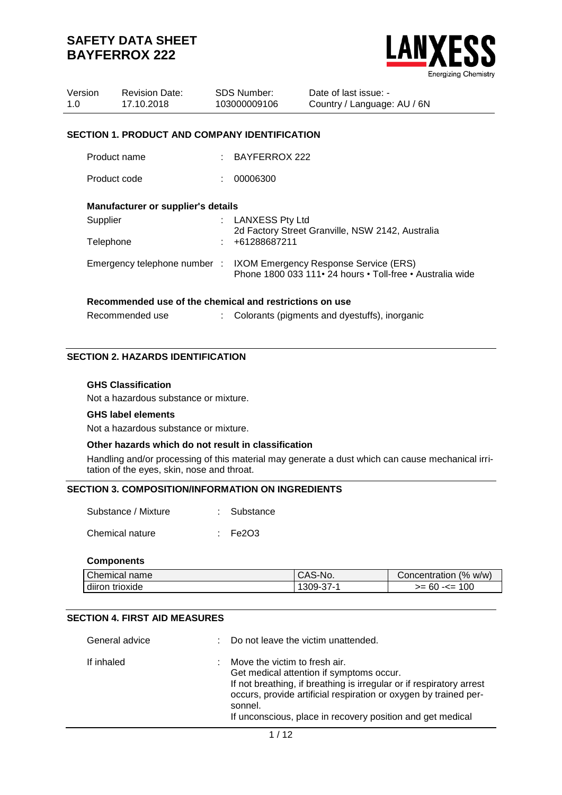

| Version<br>1.0  | <b>Revision Date:</b><br>17.10.2018                     | <b>SDS Number:</b><br>103000009106                                    | Date of last issue: -<br>Country / Language: AU / 6N                                                                             |
|-----------------|---------------------------------------------------------|-----------------------------------------------------------------------|----------------------------------------------------------------------------------------------------------------------------------|
|                 | <b>SECTION 1. PRODUCT AND COMPANY IDENTIFICATION</b>    |                                                                       |                                                                                                                                  |
|                 | Product name                                            | $:$ BAYFERROX 222                                                     |                                                                                                                                  |
|                 | Product code                                            | 00006300                                                              |                                                                                                                                  |
|                 | <b>Manufacturer or supplier's details</b>               |                                                                       |                                                                                                                                  |
| Supplier        |                                                         | : LANXESS Pty Ltd<br>2d Factory Street Granville, NSW 2142, Australia |                                                                                                                                  |
| Telephone       |                                                         | +61288687211                                                          |                                                                                                                                  |
|                 |                                                         |                                                                       | Emergency telephone number : IXOM Emergency Response Service (ERS)<br>Phone 1800 033 111 • 24 hours • Toll-free • Australia wide |
|                 | Recommended use of the chemical and restrictions on use |                                                                       |                                                                                                                                  |
| Recommended use |                                                         |                                                                       | Colorants (pigments and dyestuffs), inorganic                                                                                    |

### **SECTION 2. HAZARDS IDENTIFICATION**

#### **GHS Classification**

Not a hazardous substance or mixture.

#### **GHS label elements**

Not a hazardous substance or mixture.

#### **Other hazards which do not result in classification**

Handling and/or processing of this material may generate a dust which can cause mechanical irritation of the eyes, skin, nose and throat.

## **SECTION 3. COMPOSITION/INFORMATION ON INGREDIENTS**

| Substance / Mixture | : Substance |
|---------------------|-------------|
| Chemical nature     | : Fe2O3     |

#### **Components**

| Chemical name      | CAS-No.                | $\frac{10}{6}$<br>W/W)<br>Concentration " |
|--------------------|------------------------|-------------------------------------------|
| diiron<br>trioxide | $309 -$<br>31 =<br>ັບເ | 100<br>>= 60<br>-<=                       |

### **SECTION 4. FIRST AID MEASURES**

| General advice | : Do not leave the victim unattended.                                                                                                                                                                                                                                                          |
|----------------|------------------------------------------------------------------------------------------------------------------------------------------------------------------------------------------------------------------------------------------------------------------------------------------------|
| If inhaled     | Move the victim to fresh air.<br>Get medical attention if symptoms occur.<br>If not breathing, if breathing is irregular or if respiratory arrest<br>occurs, provide artificial respiration or oxygen by trained per-<br>sonnel.<br>If unconscious, place in recovery position and get medical |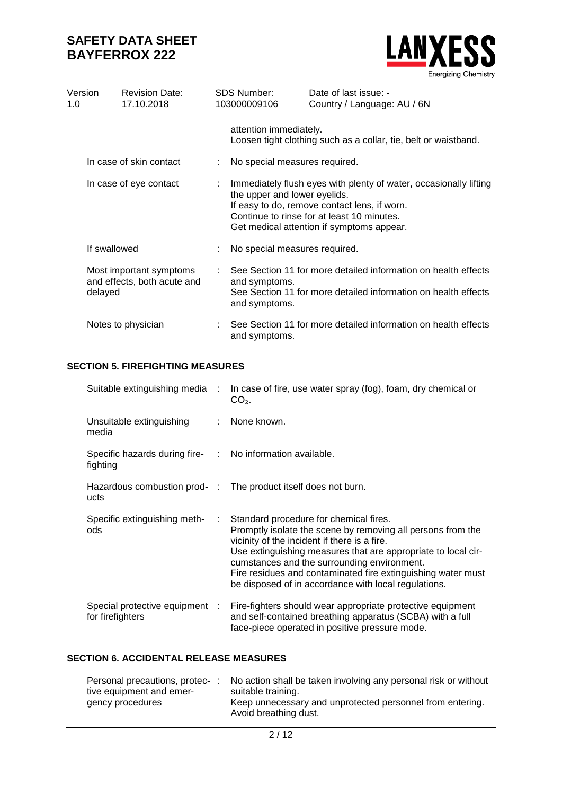

| Version<br>1.0         |              | <b>Revision Date:</b><br>17.10.2018                                                                                                                                                                                                          | <b>SDS Number:</b><br>103000009106 | Date of last issue: -<br>Country / Language: AU / 6N                                                                             |  |  |  |
|------------------------|--------------|----------------------------------------------------------------------------------------------------------------------------------------------------------------------------------------------------------------------------------------------|------------------------------------|----------------------------------------------------------------------------------------------------------------------------------|--|--|--|
|                        |              |                                                                                                                                                                                                                                              | attention immediately.             | Loosen tight clothing such as a collar, tie, belt or waistband.                                                                  |  |  |  |
|                        |              | In case of skin contact                                                                                                                                                                                                                      | No special measures required.      |                                                                                                                                  |  |  |  |
| In case of eye contact |              | Immediately flush eyes with plenty of water, occasionally lifting<br>the upper and lower eyelids.<br>If easy to do, remove contact lens, if worn.<br>Continue to rinse for at least 10 minutes.<br>Get medical attention if symptoms appear. |                                    |                                                                                                                                  |  |  |  |
|                        | If swallowed |                                                                                                                                                                                                                                              | No special measures required.      |                                                                                                                                  |  |  |  |
|                        | delayed      | Most important symptoms<br>and effects, both acute and                                                                                                                                                                                       | and symptoms.<br>and symptoms.     | See Section 11 for more detailed information on health effects<br>See Section 11 for more detailed information on health effects |  |  |  |
|                        |              | Notes to physician                                                                                                                                                                                                                           | and symptoms.                      | See Section 11 for more detailed information on health effects                                                                   |  |  |  |

## **SECTION 5. FIREFIGHTING MEASURES**

| Suitable extinguishing media :                                        |    | In case of fire, use water spray (fog), foam, dry chemical or<br>$CO2$ .                                                                                                                                                                                                                                                                                                                      |
|-----------------------------------------------------------------------|----|-----------------------------------------------------------------------------------------------------------------------------------------------------------------------------------------------------------------------------------------------------------------------------------------------------------------------------------------------------------------------------------------------|
| Unsuitable extinguishing<br>media                                     |    | : None known.                                                                                                                                                                                                                                                                                                                                                                                 |
| Specific hazards during fire- : No information available.<br>fighting |    |                                                                                                                                                                                                                                                                                                                                                                                               |
| ucts                                                                  |    | Hazardous combustion prod- : The product itself does not burn.                                                                                                                                                                                                                                                                                                                                |
| Specific extinguishing meth-<br>ods                                   | ÷. | Standard procedure for chemical fires.<br>Promptly isolate the scene by removing all persons from the<br>vicinity of the incident if there is a fire.<br>Use extinguishing measures that are appropriate to local cir-<br>cumstances and the surrounding environment.<br>Fire residues and contaminated fire extinguishing water must<br>be disposed of in accordance with local regulations. |
| Special protective equipment :<br>for firefighters                    |    | Fire-fighters should wear appropriate protective equipment<br>and self-contained breathing apparatus (SCBA) with a full<br>face-piece operated in positive pressure mode.                                                                                                                                                                                                                     |

## **SECTION 6. ACCIDENTAL RELEASE MEASURES**

| Personal precautions, protec-: | No action shall be taken involving any personal risk or without                    |
|--------------------------------|------------------------------------------------------------------------------------|
| tive equipment and emer-       | suitable training.                                                                 |
| gency procedures               | Keep unnecessary and unprotected personnel from entering.<br>Avoid breathing dust. |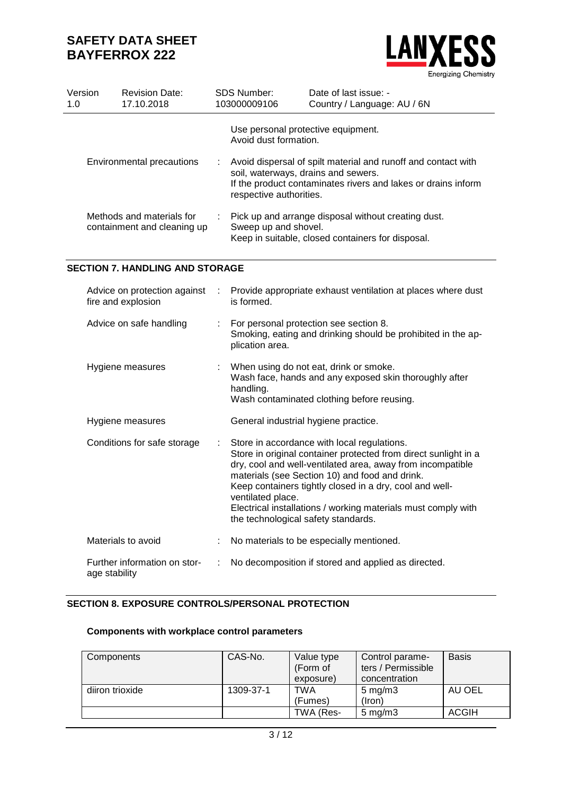

| Version<br>1.0 | <b>Revision Date:</b><br>17.10.2018                      |    | <b>SDS Number:</b><br>103000009106                                                                                                                                                                                                                                                                                                                                                                                     | Date of last issue: -<br>Country / Language: AU / 6N |  |  |  |
|----------------|----------------------------------------------------------|----|------------------------------------------------------------------------------------------------------------------------------------------------------------------------------------------------------------------------------------------------------------------------------------------------------------------------------------------------------------------------------------------------------------------------|------------------------------------------------------|--|--|--|
|                |                                                          |    | Use personal protective equipment.<br>Avoid dust formation.                                                                                                                                                                                                                                                                                                                                                            |                                                      |  |  |  |
|                | Environmental precautions                                |    | Avoid dispersal of spilt material and runoff and contact with<br>soil, waterways, drains and sewers.<br>If the product contaminates rivers and lakes or drains inform<br>respective authorities.                                                                                                                                                                                                                       |                                                      |  |  |  |
|                | Methods and materials for<br>containment and cleaning up |    | Pick up and arrange disposal without creating dust.<br>Sweep up and shovel.<br>Keep in suitable, closed containers for disposal.                                                                                                                                                                                                                                                                                       |                                                      |  |  |  |
|                | <b>SECTION 7. HANDLING AND STORAGE</b>                   |    |                                                                                                                                                                                                                                                                                                                                                                                                                        |                                                      |  |  |  |
|                | Advice on protection against<br>fire and explosion       |    | Provide appropriate exhaust ventilation at places where dust<br>is formed.                                                                                                                                                                                                                                                                                                                                             |                                                      |  |  |  |
|                | Advice on safe handling                                  |    | For personal protection see section 8.<br>Smoking, eating and drinking should be prohibited in the ap-<br>plication area.                                                                                                                                                                                                                                                                                              |                                                      |  |  |  |
|                | Hygiene measures                                         |    | When using do not eat, drink or smoke.<br>Wash face, hands and any exposed skin thoroughly after<br>handling.<br>Wash contaminated clothing before reusing.                                                                                                                                                                                                                                                            |                                                      |  |  |  |
|                | Hygiene measures                                         |    | General industrial hygiene practice.                                                                                                                                                                                                                                                                                                                                                                                   |                                                      |  |  |  |
|                | Conditions for safe storage                              | ÷. | Store in accordance with local regulations.<br>Store in original container protected from direct sunlight in a<br>dry, cool and well-ventilated area, away from incompatible<br>materials (see Section 10) and food and drink.<br>Keep containers tightly closed in a dry, cool and well-<br>ventilated place.<br>Electrical installations / working materials must comply with<br>the technological safety standards. |                                                      |  |  |  |
|                | Materials to avoid                                       |    |                                                                                                                                                                                                                                                                                                                                                                                                                        | No materials to be especially mentioned.             |  |  |  |
|                | Further information on stor-<br>age stability            | ÷  | No decomposition if stored and applied as directed.                                                                                                                                                                                                                                                                                                                                                                    |                                                      |  |  |  |

# **SECTION 8. EXPOSURE CONTROLS/PERSONAL PROTECTION**

# **Components with workplace control parameters**

| Components      | CAS-No.   | Value type<br>(Form of<br>exposure) | Control parame-<br>ters / Permissible<br>concentration | <b>Basis</b> |
|-----------------|-----------|-------------------------------------|--------------------------------------------------------|--------------|
| diiron trioxide | 1309-37-1 | TWA<br>(Fumes)                      | $5 \text{ mg/m}$ 3<br>(Iron)                           | AU OEL       |
|                 |           | TWA (Res-                           | $5 \text{ mg/m}$ 3                                     | ACGIH        |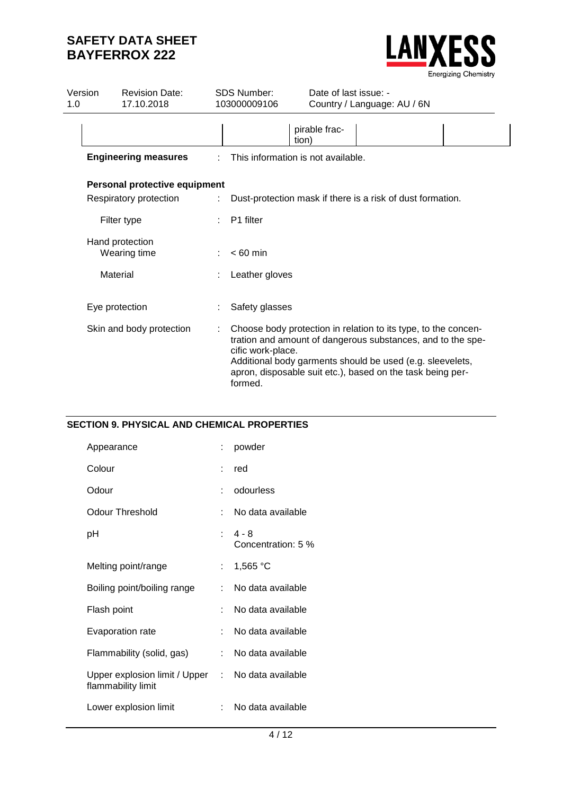

| Version<br>1.0           | <b>Revision Date:</b><br>17.10.2018 | <b>SDS Number:</b><br>Date of last issue: -<br>103000009106<br>Country / Language: AU / 6N                                                                                                                                                                                               |  |  |
|--------------------------|-------------------------------------|------------------------------------------------------------------------------------------------------------------------------------------------------------------------------------------------------------------------------------------------------------------------------------------|--|--|
|                          |                                     | pirable frac-<br>tion)                                                                                                                                                                                                                                                                   |  |  |
|                          | <b>Engineering measures</b>         | This information is not available.                                                                                                                                                                                                                                                       |  |  |
|                          | Personal protective equipment       |                                                                                                                                                                                                                                                                                          |  |  |
|                          | Respiratory protection              | Dust-protection mask if there is a risk of dust formation.                                                                                                                                                                                                                               |  |  |
|                          | Filter type                         | P1 filter                                                                                                                                                                                                                                                                                |  |  |
|                          | Hand protection<br>Wearing time     | $< 60$ min                                                                                                                                                                                                                                                                               |  |  |
| Material                 |                                     | Leather gloves                                                                                                                                                                                                                                                                           |  |  |
|                          | Eye protection                      | Safety glasses                                                                                                                                                                                                                                                                           |  |  |
| Skin and body protection |                                     | Choose body protection in relation to its type, to the concen-<br>tration and amount of dangerous substances, and to the spe-<br>cific work-place.<br>Additional body garments should be used (e.g. sleevelets,<br>apron, disposable suit etc.), based on the task being per-<br>formed. |  |  |

### **SECTION 9. PHYSICAL AND CHEMICAL PROPERTIES**

| Appearance                                                              |    | powder                      |
|-------------------------------------------------------------------------|----|-----------------------------|
| Colour                                                                  |    | red                         |
| Odour                                                                   |    | odourless                   |
| <b>Odour Threshold</b>                                                  |    | No data available           |
| рH                                                                      |    | : 4-8<br>Concentration: 5 % |
| Melting point/range                                                     | t. | 1,565 °C                    |
| Boiling point/boiling range                                             | t. | No data available           |
| Flash point                                                             |    | No data available           |
| Evaporation rate                                                        |    | No data available           |
| Flammability (solid, gas)                                               | t. | No data available           |
| Upper explosion limit / Upper : No data available<br>flammability limit |    |                             |
| Lower explosion limit                                                   |    | No data available           |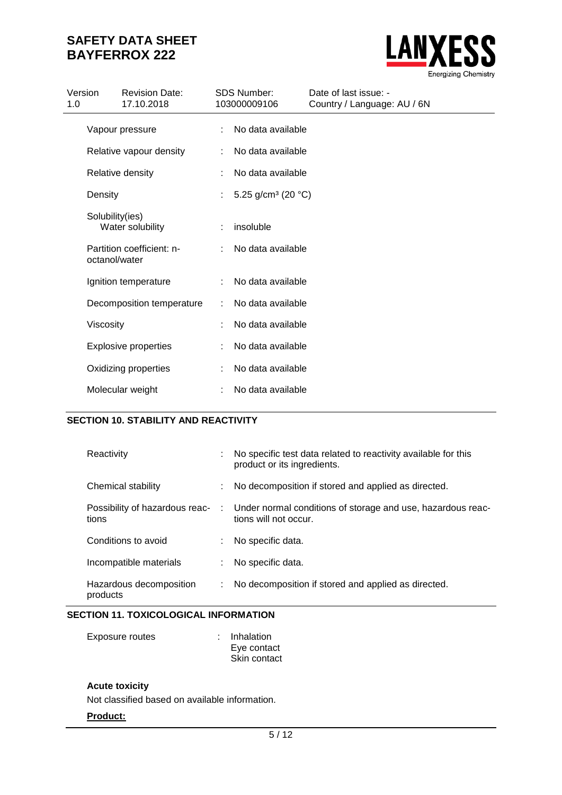

| Version<br>1.0 |                 | <b>Revision Date:</b><br>17.10.2018 |   | <b>SDS Number:</b><br>103000009106 | Date of last issue: -<br>Country / Language: AU / 6N |
|----------------|-----------------|-------------------------------------|---|------------------------------------|------------------------------------------------------|
|                | Vapour pressure |                                     | ÷ | No data available                  |                                                      |
|                |                 | Relative vapour density             | ÷ | No data available                  |                                                      |
|                |                 | Relative density                    | ÷ | No data available                  |                                                      |
|                | Density         |                                     |   | 5.25 g/cm <sup>3</sup> (20 °C)     |                                                      |
|                | Solubility(ies) | Water solubility                    |   | insoluble                          |                                                      |
|                | octanol/water   | Partition coefficient: n-           | ÷ | No data available                  |                                                      |
|                |                 | Ignition temperature                |   | No data available                  |                                                      |
|                |                 | Decomposition temperature           |   | No data available                  |                                                      |
|                | Viscosity       |                                     |   | No data available                  |                                                      |
|                |                 | <b>Explosive properties</b>         |   | No data available                  |                                                      |
|                |                 | Oxidizing properties                |   | No data available                  |                                                      |
|                |                 | Molecular weight                    |   | No data available                  |                                                      |

# **SECTION 10. STABILITY AND REACTIVITY**

| Reactivity                                |    | No specific test data related to reactivity available for this<br>product or its ingredients. |
|-------------------------------------------|----|-----------------------------------------------------------------------------------------------|
| Chemical stability                        |    | : No decomposition if stored and applied as directed.                                         |
| Possibility of hazardous reac- :<br>tions |    | Under normal conditions of storage and use, hazardous reac-<br>tions will not occur.          |
| Conditions to avoid                       |    | : No specific data.                                                                           |
| Incompatible materials                    |    | No specific data.                                                                             |
| Hazardous decomposition<br>products       | ÷. | No decomposition if stored and applied as directed.                                           |

# **SECTION 11. TOXICOLOGICAL INFORMATION**

| Exposure routes | : Inhalation |  |
|-----------------|--------------|--|
|                 | Eye contact  |  |
|                 | Skin contact |  |

### **Acute toxicity**

Not classified based on available information.

### **Product:**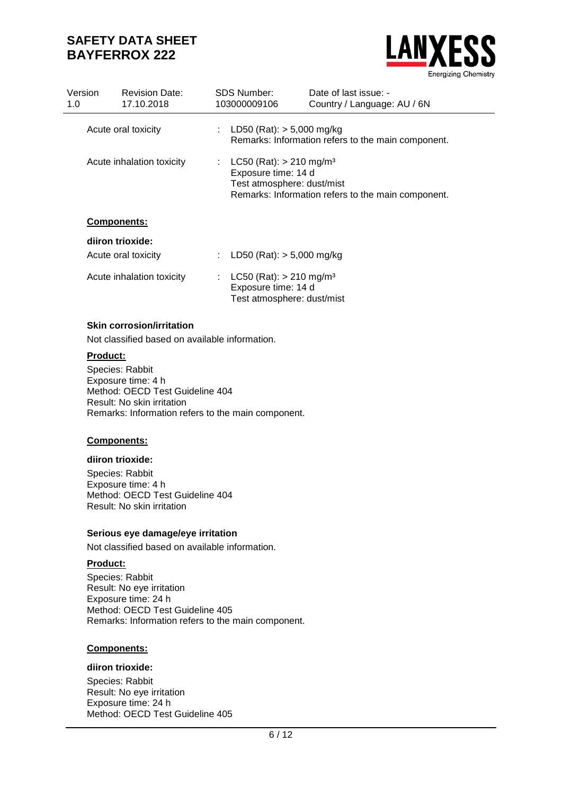

| Version<br>1.0 | <b>Revision Date:</b><br>17.10.2018     |    | SDS Number:<br>103000009106                                                                  | Date of last issue: -<br>Country / Language: AU / 6N |
|----------------|-----------------------------------------|----|----------------------------------------------------------------------------------------------|------------------------------------------------------|
|                | Acute oral toxicity                     |    | : LD50 (Rat): $> 5,000$ mg/kg                                                                | Remarks: Information refers to the main component.   |
|                | Acute inhalation toxicity               |    | LC50 (Rat): $> 210$ mg/m <sup>3</sup><br>Exposure time: 14 d<br>Test atmosphere: dust/mist   | Remarks: Information refers to the main component.   |
|                | <b>Components:</b>                      |    |                                                                                              |                                                      |
|                | diiron trioxide:<br>Acute oral toxicity |    | LD50 (Rat): $> 5,000$ mg/kg                                                                  |                                                      |
|                | Acute inhalation toxicity               | t. | $LC50$ (Rat): $> 210$ mg/m <sup>3</sup><br>Exposure time: 14 d<br>Test atmosphere: dust/mist |                                                      |

## **Skin corrosion/irritation**

Not classified based on available information.

## **Product:**

Species: Rabbit Exposure time: 4 h Method: OECD Test Guideline 404 Result: No skin irritation Remarks: Information refers to the main component.

### **Components:**

#### **diiron trioxide:**

Species: Rabbit Exposure time: 4 h Method: OECD Test Guideline 404 Result: No skin irritation

### **Serious eye damage/eye irritation**

Not classified based on available information.

## **Product:**

Species: Rabbit Result: No eye irritation Exposure time: 24 h Method: OECD Test Guideline 405 Remarks: Information refers to the main component.

#### **Components:**

### **diiron trioxide:**

Species: Rabbit Result: No eye irritation Exposure time: 24 h Method: OECD Test Guideline 405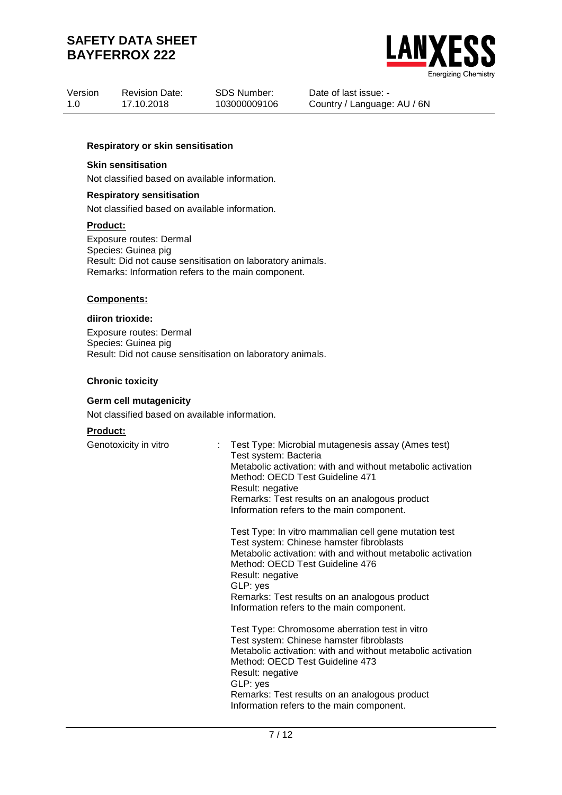

| Version | <b>Revision Date:</b> | SDS Number:  |
|---------|-----------------------|--------------|
| 1.0     | 17.10.2018            | 103000009106 |

Date of last issue: - Country / Language: AU / 6N

#### **Respiratory or skin sensitisation**

#### **Skin sensitisation**

Not classified based on available information.

#### **Respiratory sensitisation**

Not classified based on available information.

#### **Product:**

Exposure routes: Dermal Species: Guinea pig Result: Did not cause sensitisation on laboratory animals. Remarks: Information refers to the main component.

#### **Components:**

#### **diiron trioxide:**

Exposure routes: Dermal Species: Guinea pig Result: Did not cause sensitisation on laboratory animals.

#### **Chronic toxicity**

#### **Germ cell mutagenicity**

Not classified based on available information.

## **Product:**

Genotoxicity in vitro : Test Type: Microbial mutagenesis assay (Ames test) Test system: Bacteria Metabolic activation: with and without metabolic activation Method: OECD Test Guideline 471 Result: negative Remarks: Test results on an analogous product Information refers to the main component.

> Test Type: In vitro mammalian cell gene mutation test Test system: Chinese hamster fibroblasts Metabolic activation: with and without metabolic activation Method: OECD Test Guideline 476 Result: negative GLP: yes Remarks: Test results on an analogous product Information refers to the main component.

> Test Type: Chromosome aberration test in vitro Test system: Chinese hamster fibroblasts Metabolic activation: with and without metabolic activation Method: OECD Test Guideline 473 Result: negative GLP: yes Remarks: Test results on an analogous product Information refers to the main component.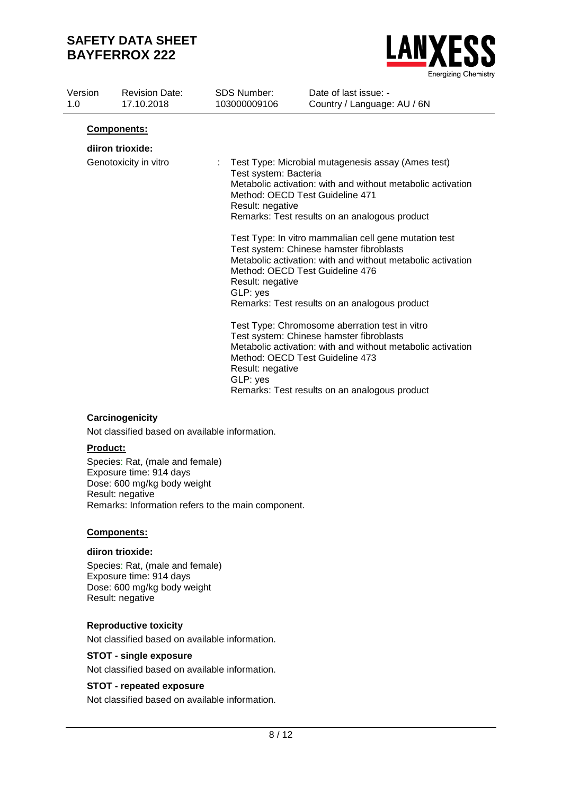

| Version<br>1.0 | <b>Revision Date:</b><br>17.10.2018 | <b>SDS Number:</b><br>103000009106                                                                              | Date of last issue: -<br>Country / Language: AU / 6N                                                                                                                                                                                                                                                                                                                                                                                                                                                                                                                                                                                                                                                           |  |
|----------------|-------------------------------------|-----------------------------------------------------------------------------------------------------------------|----------------------------------------------------------------------------------------------------------------------------------------------------------------------------------------------------------------------------------------------------------------------------------------------------------------------------------------------------------------------------------------------------------------------------------------------------------------------------------------------------------------------------------------------------------------------------------------------------------------------------------------------------------------------------------------------------------------|--|
|                | Components:                         |                                                                                                                 |                                                                                                                                                                                                                                                                                                                                                                                                                                                                                                                                                                                                                                                                                                                |  |
|                | diiron trioxide:                    |                                                                                                                 |                                                                                                                                                                                                                                                                                                                                                                                                                                                                                                                                                                                                                                                                                                                |  |
|                | Genotoxicity in vitro               | ÷.<br>Test system: Bacteria<br>Result: negative<br>Result: negative<br>GLP: yes<br>Result: negative<br>GLP: yes | Test Type: Microbial mutagenesis assay (Ames test)<br>Metabolic activation: with and without metabolic activation<br>Method: OECD Test Guideline 471<br>Remarks: Test results on an analogous product<br>Test Type: In vitro mammalian cell gene mutation test<br>Test system: Chinese hamster fibroblasts<br>Metabolic activation: with and without metabolic activation<br>Method: OECD Test Guideline 476<br>Remarks: Test results on an analogous product<br>Test Type: Chromosome aberration test in vitro<br>Test system: Chinese hamster fibroblasts<br>Metabolic activation: with and without metabolic activation<br>Method: OECD Test Guideline 473<br>Remarks: Test results on an analogous product |  |

## **Carcinogenicity**

Not classified based on available information.

## **Product:**

Species: Rat, (male and female) Exposure time: 914 days Dose: 600 mg/kg body weight Result: negative Remarks: Information refers to the main component.

# **Components:**

#### **diiron trioxide:**

Species: Rat, (male and female) Exposure time: 914 days Dose: 600 mg/kg body weight Result: negative

## **Reproductive toxicity**

Not classified based on available information.

## **STOT - single exposure**

Not classified based on available information.

## **STOT - repeated exposure**

Not classified based on available information.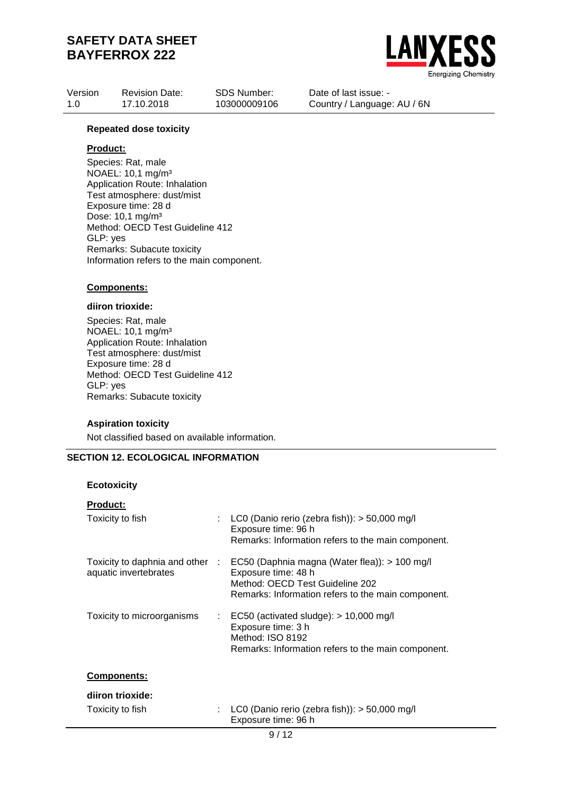

| Version | <b>Revision Date:</b> | SDS Number:  | Date of last issue: -       |
|---------|-----------------------|--------------|-----------------------------|
| 1.0     | 17.10.2018            | 103000009106 | Country / Language: AU / 6N |
|         |                       |              |                             |

#### **Repeated dose toxicity**

## **Product:**

Species: Rat, male NOAEL: 10,1 mg/m³ Application Route: Inhalation Test atmosphere: dust/mist Exposure time: 28 d Dose: 10,1 mg/m³ Method: OECD Test Guideline 412 GLP: yes Remarks: Subacute toxicity Information refers to the main component.

#### **Components:**

### **diiron trioxide:**

Species: Rat, male NOAEL: 10,1 mg/m³ Application Route: Inhalation Test atmosphere: dust/mist Exposure time: 28 d Method: OECD Test Guideline 412 GLP: yes Remarks: Subacute toxicity

#### **Aspiration toxicity**

Not classified based on available information.

## **SECTION 12. ECOLOGICAL INFORMATION**

#### **Ecotoxicity**

| <b>Product:</b>                                          |                           |                                                                                                                                                               |
|----------------------------------------------------------|---------------------------|---------------------------------------------------------------------------------------------------------------------------------------------------------------|
| Toxicity to fish                                         |                           | LC0 (Danio rerio (zebra fish)): $>$ 50,000 mg/l<br>Exposure time: 96 h<br>Remarks: Information refers to the main component.                                  |
| Toxicity to daphnia and other :<br>aquatic invertebrates |                           | EC50 (Daphnia magna (Water flea)): > 100 mg/l<br>Exposure time: 48 h<br>Method: OECD Test Guideline 202<br>Remarks: Information refers to the main component. |
| Toxicity to microorganisms                               | $\mathbb{Z}^{\mathbb{Z}}$ | EC50 (activated sludge): $> 10,000$ mg/l<br>Exposure time: 3 h<br>Method: ISO 8192<br>Remarks: Information refers to the main component.                      |
| Comnonante:                                              |                           |                                                                                                                                                               |

## **Components:**

# **diiron trioxide:**

| Toxicity to fish | : LC0 (Danio rerio (zebra fish)): $>$ 50,000 mg/l |
|------------------|---------------------------------------------------|
|                  | Exposure time: 96 h                               |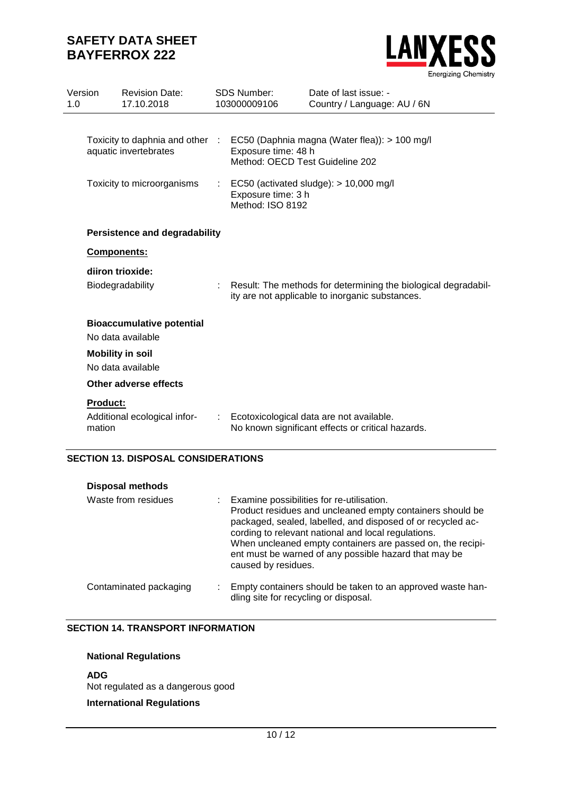

| Version<br>1.0 |                           | <b>Revision Date:</b><br>17.10.2018                                                    |   | <b>SDS Number:</b><br>103000009106                                                               | Date of last issue: -<br>Country / Language: AU / 6N                                                              |
|----------------|---------------------------|----------------------------------------------------------------------------------------|---|--------------------------------------------------------------------------------------------------|-------------------------------------------------------------------------------------------------------------------|
|                |                           | Toxicity to daphnia and other :<br>aquatic invertebrates<br>Toxicity to microorganisms |   | Exposure time: 48 h<br>Method: OECD Test Guideline 202<br>Exposure time: 3 h<br>Method: ISO 8192 | EC50 (Daphnia magna (Water flea)): > 100 mg/l<br>EC50 (activated sludge): $> 10,000$ mg/l                         |
|                |                           | <b>Persistence and degradability</b>                                                   |   |                                                                                                  |                                                                                                                   |
|                | <b>Components:</b>        |                                                                                        |   |                                                                                                  |                                                                                                                   |
|                | diiron trioxide:          | Biodegradability                                                                       |   |                                                                                                  | Result: The methods for determining the biological degradabil-<br>ity are not applicable to inorganic substances. |
|                |                           | <b>Bioaccumulative potential</b><br>No data available                                  |   |                                                                                                  |                                                                                                                   |
|                | <b>Mobility in soil</b>   | No data available                                                                      |   |                                                                                                  |                                                                                                                   |
|                |                           | Other adverse effects                                                                  |   |                                                                                                  |                                                                                                                   |
|                | <b>Product:</b><br>mation | Additional ecological infor-                                                           | ÷ |                                                                                                  | Ecotoxicological data are not available.<br>No known significant effects or critical hazards.                     |

# **SECTION 13. DISPOSAL CONSIDERATIONS**

| <b>Disposal methods</b> |                                                                                                                                                                                                                                                                                                                                                                              |
|-------------------------|------------------------------------------------------------------------------------------------------------------------------------------------------------------------------------------------------------------------------------------------------------------------------------------------------------------------------------------------------------------------------|
| Waste from residues     | : Examine possibilities for re-utilisation.<br>Product residues and uncleaned empty containers should be<br>packaged, sealed, labelled, and disposed of or recycled ac-<br>cording to relevant national and local regulations.<br>When uncleaned empty containers are passed on, the recipi-<br>ent must be warned of any possible hazard that may be<br>caused by residues. |
| Contaminated packaging  | Empty containers should be taken to an approved waste han-<br>dling site for recycling or disposal.                                                                                                                                                                                                                                                                          |

## **SECTION 14. TRANSPORT INFORMATION**

# **National Regulations**

**ADG** Not regulated as a dangerous good

# **International Regulations**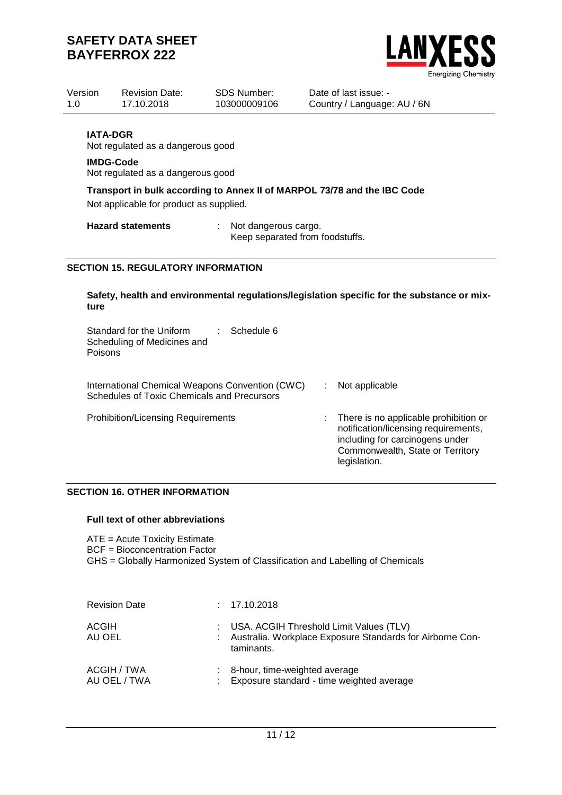

| Version<br>1.0 |                                     | <b>Revision Date:</b><br>17.10.2018                                                            | <b>SDS Number:</b><br>103000009106                      | Date of last issue: -<br>Country / Language: AU / 6N                                        |
|----------------|-------------------------------------|------------------------------------------------------------------------------------------------|---------------------------------------------------------|---------------------------------------------------------------------------------------------|
|                | <b>IATA-DGR</b><br><b>IMDG-Code</b> | Not regulated as a dangerous good<br>Not regulated as a dangerous good                         |                                                         |                                                                                             |
|                |                                     | Not applicable for product as supplied.                                                        |                                                         | Transport in bulk according to Annex II of MARPOL 73/78 and the IBC Code                    |
|                |                                     | <b>Hazard statements</b>                                                                       | Not dangerous cargo.<br>Keep separated from foodstuffs. |                                                                                             |
|                |                                     | <b>SECTION 15. REGULATORY INFORMATION</b>                                                      |                                                         |                                                                                             |
|                | ture                                |                                                                                                |                                                         | Safety, health and environmental regulations/legislation specific for the substance or mix- |
|                | Poisons                             | Standard for the Uniform<br>Scheduling of Medicines and                                        | Schedule 6<br>t.                                        |                                                                                             |
|                |                                     | International Chemical Weapons Convention (CWC)<br>Schedules of Toxic Chemicals and Precursors |                                                         | Not applicable                                                                              |

Prohibition/Licensing Requirements : There is no applicable prohibition or notification/licensing requirements, including for carcinogens under Commonwealth, State or Territory legislation.

# **SECTION 16. OTHER INFORMATION**

### **Full text of other abbreviations**

ATE = Acute Toxicity Estimate BCF = Bioconcentration Factor GHS = Globally Harmonized System of Classification and Labelling of Chemicals

| <b>Revision Date</b>        | : 17.10.2018                                                                                                         |
|-----------------------------|----------------------------------------------------------------------------------------------------------------------|
| <b>ACGIH</b><br>AU OEL      | : USA. ACGIH Threshold Limit Values (TLV)<br>Australia. Workplace Exposure Standards for Airborne Con-<br>taminants. |
| ACGIH / TWA<br>AU OEL / TWA | 8-hour, time-weighted average<br>Exposure standard - time weighted average                                           |